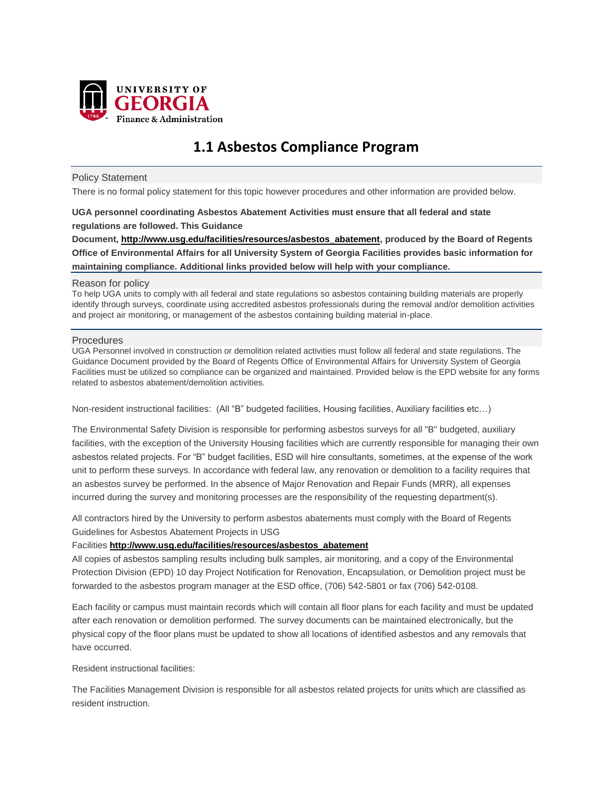

# **1.1 Asbestos Compliance Program**

## Policy Statement

There is no formal policy statement for this topic however procedures and other information are provided below.

## **UGA personnel coordinating Asbestos Abatement Activities must ensure that all federal and state regulations are followed. This Guidance**

**Document, [http://www.usg.edu/facilities/resources/asbestos\\_abatement,](http://www.usg.edu/facilities/resources/asbestos_abatement) produced by the Board of Regents Office of Environmental Affairs for all University System of Georgia Facilities provides basic information for maintaining compliance. Additional links provided below will help with your compliance.**

### Reason for policy

To help UGA units to comply with all federal and state regulations so asbestos containing building materials are properly identify through surveys, coordinate using accredited asbestos professionals during the removal and/or demolition activities and project air monitoring, or management of the asbestos containing building material in-place.

## **Procedures**

UGA Personnel involved in construction or demolition related activities must follow all federal and state regulations. The Guidance Document provided by the Board of Regents Office of Environmental Affairs for University System of Georgia Facilities must be utilized so compliance can be organized and maintained. Provided below is the EPD website for any forms related to asbestos abatement/demolition activities.

Non-resident instructional facilities: (All "B" budgeted facilities, Housing facilities, Auxiliary facilities etc…)

The Environmental Safety Division is responsible for performing asbestos surveys for all "B" budgeted, auxiliary facilities, with the exception of the University Housing facilities which are currently responsible for managing their own asbestos related projects. For "B" budget facilities, ESD will hire consultants, sometimes, at the expense of the work unit to perform these surveys. In accordance with federal law, any renovation or demolition to a facility requires that an asbestos survey be performed. In the absence of Major Renovation and Repair Funds (MRR), all expenses incurred during the survey and monitoring processes are the responsibility of the requesting department(s).

All contractors hired by the University to perform asbestos abatements must comply with the Board of Regents Guidelines for Asbestos Abatement Projects in USG

## Facilities **[http://www.usg.edu/facilities/resources/asbestos\\_abatement](http://www.usg.edu/facilities/resources/asbestos_abatement)**

All copies of asbestos sampling results including bulk samples, air monitoring, and a copy of the Environmental Protection Division (EPD) 10 day Project Notification for Renovation, Encapsulation, or Demolition project must be forwarded to the asbestos program manager at the ESD office, (706) 542-5801 or fax (706) 542-0108.

Each facility or campus must maintain records which will contain all floor plans for each facility and must be updated after each renovation or demolition performed. The survey documents can be maintained electronically, but the physical copy of the floor plans must be updated to show all locations of identified asbestos and any removals that have occurred.

Resident instructional facilities:

The Facilities Management Division is responsible for all asbestos related projects for units which are classified as resident instruction.